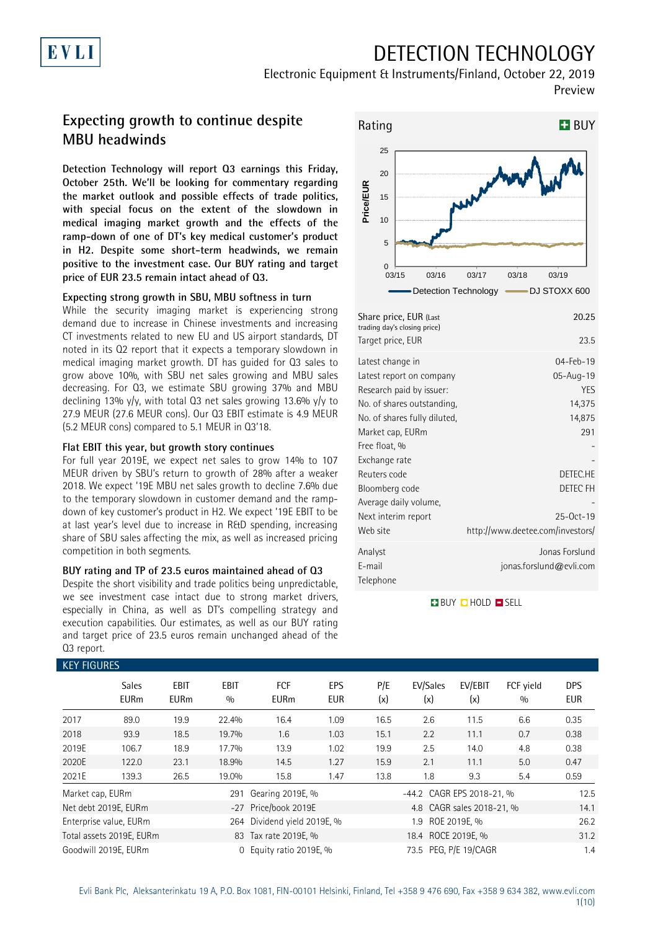## DETECTION TECHNOLOGY

Electronic Equipment & Instruments/Finland, October 22, 2019 Preview

### **Expecting growth to continue despite MBU headwinds**

**Detection Technology will report Q3 earnings this Friday, October 25th. We'll be looking for commentary regarding the market outlook and possible effects of trade politics, with special focus on the extent of the slowdown in medical imaging market growth and the effects of the ramp-down of one of DT's key medical customer's product in H2. Despite some short-term headwinds, we remain positive to the investment case. Our BUY rating and target price of EUR 23.5 remain intact ahead of Q3.**

#### **Expecting strong growth in SBU, MBU softness in turn**

While the security imaging market is experiencing strong demand due to increase in Chinese investments and increasing CT investments related to new EU and US airport standards, DT noted in its Q2 report that it expects a temporary slowdown in medical imaging market growth. DT has guided for Q3 sales to grow above 10%, with SBU net sales growing and MBU sales decreasing. For Q3, we estimate SBU growing 37% and MBU declining 13% y/y, with total Q3 net sales growing 13.6% y/y to 27.9 MEUR (27.6 MEUR cons). Our Q3 EBIT estimate is 4.9 MEUR (5.2 MEUR cons) compared to 5.1 MEUR in Q3'18.

#### **Flat EBIT this year, but growth story continues**

For full year 2019E, we expect net sales to grow 14% to 107 MEUR driven by SBU's return to growth of 28% after a weaker 2018. We expect '19E MBU net sales growth to decline 7.6% due to the temporary slowdown in customer demand and the rampdown of key customer's product in H2. We expect '19E EBIT to be at last year's level due to increase in R&D spending, increasing share of SBU sales affecting the mix, as well as increased pricing competition in both segments.

#### **BUY rating and TP of 23.5 euros maintained ahead of Q3**

Despite the short visibility and trade politics being unpredictable, we see investment case intact due to strong market drivers, especially in China, as well as DT's compelling strategy and execution capabilities. Our estimates, as well as our BUY rating and target price of 23.5 euros remain unchanged ahead of the Q3 report.



| Share price, EUR (Last<br>trading day's closing price)<br>Target price, EUR                                                                                                                                                                                                                | 20.25<br>23.5                                                                                                                              |
|--------------------------------------------------------------------------------------------------------------------------------------------------------------------------------------------------------------------------------------------------------------------------------------------|--------------------------------------------------------------------------------------------------------------------------------------------|
| Latest change in<br>Latest report on company<br>Research paid by issuer:<br>No. of shares outstanding,<br>No. of shares fully diluted,<br>Market cap, EURm<br>Free float, %<br>Exchange rate<br>Reuters code<br>Bloomberg code<br>Average daily volume,<br>Next interim report<br>Web site | 04-Feb-19<br>05-Aug-19<br><b>YES</b><br>14,375<br>14,875<br>291<br>DETEC.HE<br>DETEC FH<br>$25-0ct-19$<br>http://www.deetee.com/investors/ |
| Analyst<br>E-mail<br>Telephone                                                                                                                                                                                                                                                             | Jonas Forslund<br>jonas.forslund@evli.com                                                                                                  |

**BUY QHOLD SELL** 

| <b>KEY FIGURES</b> |                             |                     |                    |                             |                   |            |                           |                           |                  |                          |
|--------------------|-----------------------------|---------------------|--------------------|-----------------------------|-------------------|------------|---------------------------|---------------------------|------------------|--------------------------|
|                    | <b>Sales</b><br><b>EURm</b> | EBIT<br><b>EURm</b> | <b>EBIT</b><br>0/0 | <b>FCF</b><br><b>EURm</b>   | EPS<br><b>EUR</b> | P/E<br>(x) | EV/Sales<br>(x)           | EV/EBIT<br>(x)            | FCF yield<br>0/0 | <b>DPS</b><br><b>EUR</b> |
| 2017               | 89.0                        | 19.9                | 22.4%              | 16.4                        | 1.09              | 16.5       | 2.6                       | 11.5                      | 6.6              | 0.35                     |
| 2018               | 93.9                        | 18.5                | 19.7%              | 1.6                         | 1.03              | 15.1       | 2.2                       | 11.1                      | 0.7              | 0.38                     |
| 2019E              | 106.7                       | 18.9                | 17.7%              | 13.9                        | 1.02              | 19.9       | 2.5                       | 14.0                      | 4.8              | 0.38                     |
| 2020E              | 122.0                       | 23.1                | 18.9%              | 14.5                        | 1.27              | 15.9       | 2.1                       | 11.1                      | 5.0              | 0.47                     |
| 2021E              | 139.3                       | 26.5                | 19.0%              | 15.8                        | 1.47              | 13.8       | 1.8                       | 9.3                       | 5.4              | 0.59                     |
| Market cap, EURm   |                             |                     | 291                | Gearing 2019E, %            |                   |            | -44.2 CAGR EPS 2018-21, % |                           |                  | 12.5                     |
|                    | Net debt 2019E, EURm        |                     |                    | -27 Price/book 2019E        |                   |            |                           | 4.8 CAGR sales 2018-21, % |                  | 14.1                     |
|                    | Enterprise value, EURm      |                     |                    | 264 Dividend yield 2019E, % |                   |            | 1.9                       | ROE 2019E, %              |                  | 26.2                     |
|                    | Total assets 2019E, EURm    |                     |                    | 83 Tax rate 2019E, %        |                   |            | 18.4 ROCE 2019E, %        |                           |                  | 31.2                     |
|                    | Goodwill 2019E, EURm        |                     | $\Omega$           | Equity ratio 2019E, %       |                   |            | 73.5                      | PEG, P/E 19/CAGR          |                  | 1.4                      |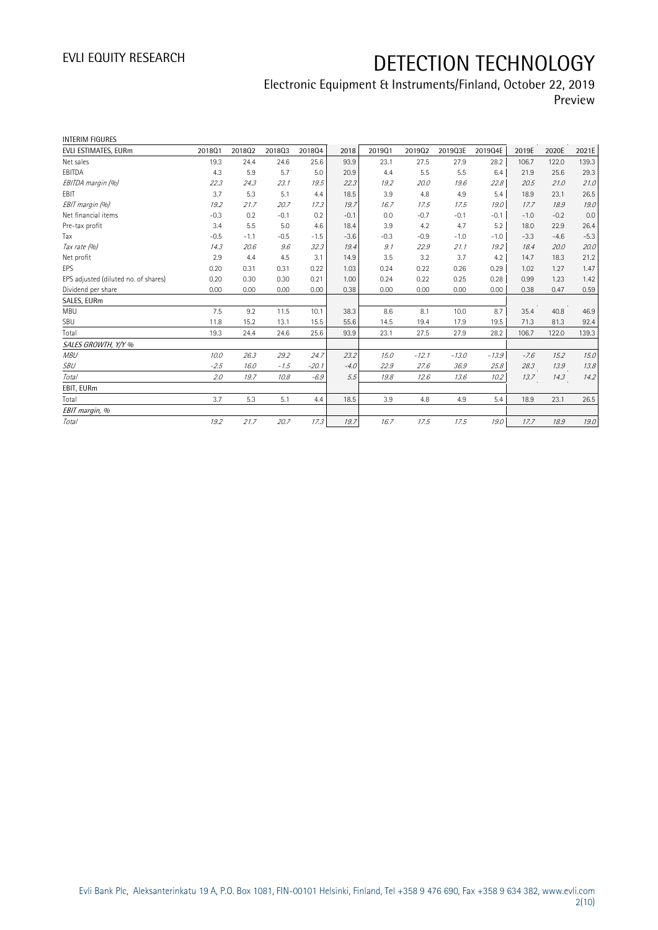| <b>INTERIM FIGURES</b>               |        |        |        |         |        |        |         |         |         |        |        |        |
|--------------------------------------|--------|--------|--------|---------|--------|--------|---------|---------|---------|--------|--------|--------|
| EVLI ESTIMATES, EURm                 | 201801 | 201802 | 201803 | 201804  | 2018   | 201901 | 201902  | 2019Q3E | 2019Q4E | 2019E  | 2020E  | 2021E  |
| Net sales                            | 19.3   | 24.4   | 24.6   | 25.6    | 93.9   | 23.1   | 27.5    | 27.9    | 28.2    | 106.7  | 122.0  | 139.3  |
| EBITDA                               | 4.3    | 5.9    | 5.7    | 5.0     | 20.9   | 4.4    | 5.5     | 5.5     | 6.4     | 21.9   | 25.6   | 29.3   |
| EBITDA margin (%)                    | 22.3   | 24.3   | 23.1   | 19.5    | 22.3   | 19.2   | 20.0    | 19.6    | 22.8    | 20.5   | 21.0   | 21.0   |
| <b>FBIT</b>                          | 3.7    | 5.3    | 5.1    | 4.4     | 18.5   | 3.9    | 4.8     | 4.9     | 5.4     | 18.9   | 23.1   | 26.5   |
| EBIT margin (%)                      | 19.2   | 21.7   | 20.7   | 17.3    | 19.7   | 16.7   | 17.5    | 17.5    | 19.0    | 17.7   | 18.9   | 19.0   |
| Net financial items                  | $-0.3$ | 0.2    | $-0.1$ | 0.2     | $-0.1$ | 0.0    | $-0.7$  | $-0.1$  | $-0.1$  | $-1.0$ | $-0.2$ | 0.0    |
| Pre-tax profit                       | 3.4    | 5.5    | 5.0    | 4.6     | 18.4   | 3.9    | 4.2     | 4.7     | 5.2     | 18.0   | 22.9   | 26.4   |
| Tax                                  | $-0.5$ | $-1.1$ | $-0.5$ | $-1.5$  | $-3.6$ | $-0.3$ | $-0.9$  | $-1.0$  | $-1.0$  | $-3.3$ | $-4.6$ | $-5.3$ |
| Tax rate (%)                         | 14.3   | 20.6   | 9.6    | 32.3    | 19.4   | 9.1    | 22.9    | 21.1    | 19.2    | 18.4   | 20.0   | 20.0   |
| Net profit                           | 2.9    | 4.4    | 4.5    | 3.1     | 14.9   | 3.5    | 3.2     | 3.7     | 4.2     | 14.7   | 18.3   | 21.2   |
| <b>EPS</b>                           | 0.20   | 0.31   | 0.31   | 0.22    | 1.03   | 0.24   | 0.22    | 0.26    | 0.29    | 1.02   | 1.27   | 1.47   |
| EPS adjusted (diluted no. of shares) | 0.20   | 0.30   | 0.30   | 0.21    | 1.00   | 0.24   | 0.22    | 0.25    | 0.28    | 0.99   | 1.23   | 1.42   |
| Dividend per share                   | 0.00   | 0.00   | 0.00   | 0.00    | 0.38   | 0.00   | 0.00    | 0.00    | 0.00    | 0.38   | 0.47   | 0.59   |
| SALES, EURm                          |        |        |        |         |        |        |         |         |         |        |        |        |
| <b>MBU</b>                           | 7.5    | 9.2    | 11.5   | 10.1    | 38.3   | 8.6    | 8.1     | 10.0    | 8.7     | 35.4   | 40.8   | 46.9   |
| SBU                                  | 11.8   | 15.2   | 13.1   | 15.5    | 55.6   | 14.5   | 19.4    | 17.9    | 19.5    | 71.3   | 81.3   | 92.4   |
| Total                                | 19.3   | 24.4   | 24.6   | 25.6    | 93.9   | 23.1   | 27.5    | 27.9    | 28.2    | 106.7  | 122.0  | 139.3  |
| SALES GROWTH, Y/Y %                  |        |        |        |         |        |        |         |         |         |        |        |        |
| <b>MBU</b>                           | 10.0   | 26.3   | 29.2   | 24.7    | 23.2   | 15.0   | $-12.1$ | $-13.0$ | $-13.9$ | $-7.6$ | 15.2   | 15.0   |
| <b>SBU</b>                           | $-2.5$ | 16.0   | $-1.5$ | $-20.1$ | $-4.0$ | 22.9   | 27.6    | 36.9    | 25.8    | 28.3   | 13.9   | 13.8   |
| <b>Total</b>                         | 2.0    | 19.7   | 10.8   | $-6.9$  | 5.5    | 19.8   | 12.6    | 13.6    | 10.2    | 13.7   | 14.3   | 14.2   |
| EBIT, EURm                           |        |        |        |         |        |        |         |         |         |        |        |        |
| Total                                | 3.7    | 5.3    | 5.1    | 4.4     | 18.5   | 3.9    | 4.8     | 4.9     | 5.4     | 18.9   | 23.1   | 26.5   |
| EBIT margin, %                       |        |        |        |         |        |        |         |         |         |        |        |        |
| Total                                | 19.2   | 21.7   | 20.7   | 17.3    | 19.7   | 16.7   | 17.5    | 17.5    | 19.0    | 17.7   | 18.9   | 19.0   |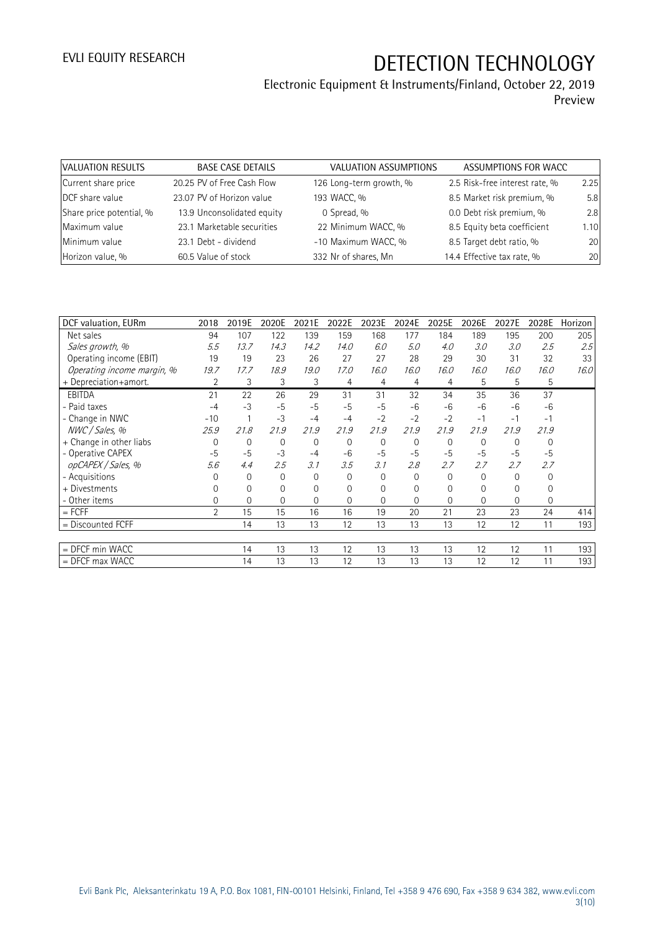| VALUATION RESULTS        | <b>BASE CASE DETAILS</b>   | VALUATION ASSUMPTIONS   | ASSUMPTIONS FOR WACC           |      |
|--------------------------|----------------------------|-------------------------|--------------------------------|------|
| Current share price      | 20.25 PV of Free Cash Flow | 126 Long-term growth, % | 2.5 Risk-free interest rate, % | 2.25 |
| DCF share value          | 23.07 PV of Horizon value  | 193 WACC, %             | 8.5 Market risk premium, %     | 5.8  |
| Share price potential, % | 13.9 Unconsolidated equity | 0 Spread, %             | 0.0 Debt risk premium, %       | 2.8  |
| Maximum value            | 23.1 Marketable securities | 22 Minimum WACC, %      | 8.5 Equity beta coefficient    | 1.10 |
| Minimum value            | 23.1 Debt - dividend       | -10 Maximum WACC, %     | 8.5 Target debt ratio, %       | 20   |
| Horizon value, %         | 60.5 Value of stock        | 332 Nr of shares, Mn    | 14.4 Effective tax rate, %     | 20   |

| DCF valuation, EURm        | 2018     | 2019E       | 2020E | 2021E       | 2022E          | 2023E | 2024E       | 2025E        | 2026E    | 2027E    | 2028E | Horizon |
|----------------------------|----------|-------------|-------|-------------|----------------|-------|-------------|--------------|----------|----------|-------|---------|
| Net sales                  | 94       | 107         | 122   | 139         | 159            | 168   | 177         | 184          | 189      | 195      | 200   | 205     |
| Sales growth, %            | 5.5      | 13.7        | 14.3  | 14.2        | 14.0           | 6.0   | 5.0         | 4.0          | 3.0      | 3.0      | 2.5   | 2.5     |
| Operating income (EBIT)    | 19       | 19          | 23    | 26          | 27             | 27    | 28          | 29           | 30       | 31       | 32    | 33      |
| Operating income margin, % | 19.7     | 17.7        | 18.9  | 19.0        | 17.0           | 16.0  | 16.0        | 16.0         | 16.0     | 16.0     | 16.0  | 16.0    |
| + Depreciation+amort.      | 2        | 3           | 3     | 3           | $\overline{4}$ | 4     | 4           | 4            | 5        | 5        | 5     |         |
| <b>EBITDA</b>              | 21       | 22          | 26    | 29          | 31             | 31    | 32          | 34           | 35       | 36       | 37    |         |
| - Paid taxes               | $-4$     | $-3$        | $-5$  | $-5$        | $-5$           | $-5$  | $-6$        | $-6$         | $-6$     | $-6$     | $-6$  |         |
| - Change in NWC            | $-10$    |             | $-3$  | $-4$        | $-4$           | $-2$  | $-2$        | $-2$         | $-1$     | $-1$     | $-1$  |         |
| NWC / Sales, %             | 25.9     | 21.8        | 21.9  | 21.9        | 21.9           | 21.9  | 21.9        | 21.9         | 21.9     | 21.9     | 21.9  |         |
| + Change in other liabs    | $\Omega$ | $\mathbf 0$ | 0     | $\mathbf 0$ | $\mathbf 0$    | 0     | $\mathbf 0$ | $\mathbf 0$  | 0        | $\Omega$ | 0     |         |
| - Operative CAPEX          | $-5$     | $-5$        | $-3$  | $-4$        | $-6$           | $-5$  | $-5$        | $-5$         | $-5$     | $-5$     | $-5$  |         |
| opCAPEX / Sales, %         | 5.6      | 4.4         | 2.5   | 3.1         | 3.5            | 3.1   | 2.8         | 2.7          | 2.7      | 2.7      | 2.7   |         |
| - Acquisitions             | O        | 0           | 0     | $\Omega$    | 0              | 0     | $\Omega$    | $\mathbf{0}$ | $\Omega$ | $\Omega$ | 0     |         |
| + Divestments              | $\Omega$ | 0           | 0     | $\Omega$    | 0              | 0     | $\Omega$    | 0            | 0        | $\Omega$ | 0     |         |
| - Other items              | $\Omega$ | 0           | 0     | $\Omega$    | 0              | 0     | $\Omega$    | 0            | $\Omega$ | $\Omega$ | 0     |         |
| $=$ FCFF                   | 2        | 15          | 15    | 16          | 16             | 19    | 20          | 21           | 23       | 23       | 24    | 414     |
| $=$ Discounted FCFF        |          | 14          | 13    | 13          | 12             | 13    | 13          | 13           | 12       | 12       | 11    | 193     |
|                            |          |             |       |             |                |       |             |              |          |          |       |         |
| $=$ DFCF min WACC          |          | 14          | 13    | 13          | 12             | 13    | 13          | 13           | 12       | 12       | 11    | 193     |
| $=$ DFCF max WACC          |          | 14          | 13    | 13          | 12             | 13    | 13          | 13           | 12       | 12       | 11    | 193     |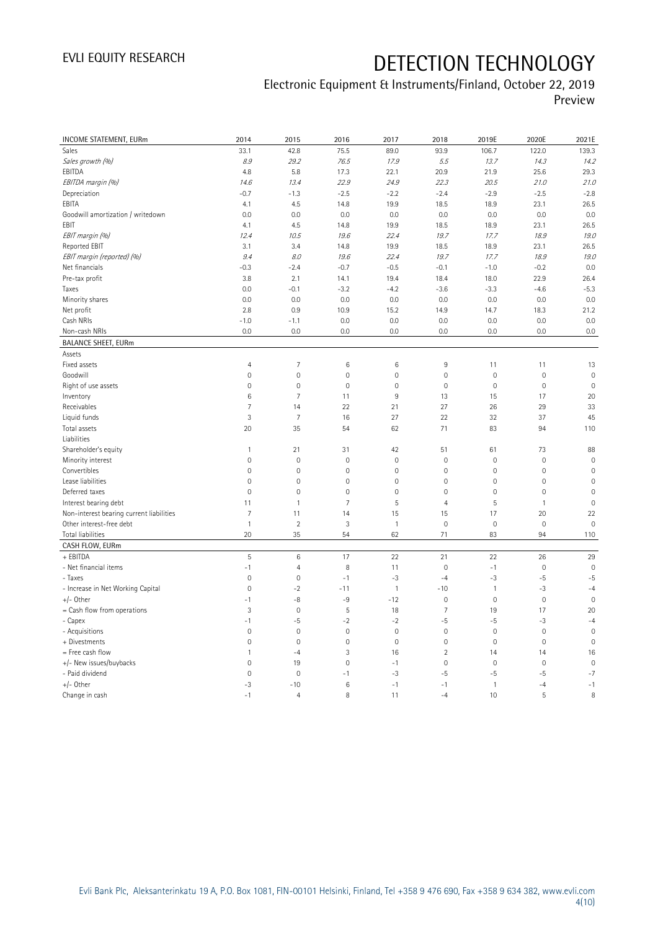| Sales<br>75.5<br>122.0<br>139.3<br>33.1<br>42.8<br>89.0<br>93.9<br>106.7<br>Sales growth (%)<br>8.9<br>29.2<br>76.5<br>17.9<br>5.5<br>13.7<br>14.3<br>14.2<br>EBITDA<br>4.8<br>20.9<br>29.3<br>5.8<br>17.3<br>22.1<br>21.9<br>25.6<br>EBITDA margin (%)<br>22.9<br>22.3<br>20.5<br>21.0<br>14.6<br>13.4<br>24.9<br>21.0<br>Depreciation<br>$-2.8$<br>$-0.7$<br>$-1.3$<br>$-2.5$<br>$-2.2$<br>$-2.4$<br>$-2.9$<br>$-2.5$<br>EBITA<br>4.5<br>14.8<br>19.9<br>18.9<br>23.1<br>26.5<br>4.1<br>18.5<br>0.0<br>0.0<br>0.0<br>0.0<br>Goodwill amortization / writedown<br>0.0<br>0.0<br>0.0<br>0.0<br>EBIT<br>4.1<br>4.5<br>14.8<br>19.9<br>18.5<br>18.9<br>23.1<br>26.5<br>EBIT margin (%)<br>12.4<br>10.5<br>19.6<br>22.4<br>19.7<br>17.7<br>18.9<br>19.0<br>26.5<br>Reported EBIT<br>3.1<br>3.4<br>14.8<br>19.9<br>18.5<br>18.9<br>23.1<br>EBIT margin (reported) (%)<br>19.6<br>22.4<br>19.7<br>18.9<br>19.0<br>9.4<br>8.0<br>17.7<br>Net financials<br>$-0.3$<br>$-2.4$<br>$-0.7$<br>$-0.5$<br>$-0.1$<br>$-1.0$<br>$-0.2$<br>0.0<br>26.4<br>Pre-tax profit<br>3.8<br>2.1<br>14.1<br>19.4<br>18.4<br>18.0<br>22.9<br>$-3.2$<br>$-3.6$<br>$-3.3$<br>$-4.6$<br>$-5.3$<br>Taxes<br>0.0<br>$-0.1$<br>$-4.2$<br>Minority shares<br>0.0<br>0.0<br>0.0<br>0.0<br>0.0<br>0.0<br>0.0<br>0.0<br>0.9<br>10.9<br>14.9<br>18.3<br>21.2<br>Net profit<br>2.8<br>15.2<br>14.7<br>Cash NRIs<br>$-1.0$<br>0.0<br>0.0<br>0.0<br>0.0<br>0.0<br>0.0<br>$-1.1$<br>0.0<br>0.0<br>0.0<br>0.0<br>0.0<br>Non-cash NRIs<br>0.0<br>0.0<br>0.0<br><b>BALANCE SHEET, EURm</b><br>Assets<br>Fixed assets<br>$\overline{7}$<br>9<br>$\overline{4}$<br>6<br>6<br>11<br>11<br>13<br>$\mathbf 0$<br>$\mathbf 0$<br>$\overline{0}$<br>Goodwill<br>$\mathbb O$<br>$\mathbb O$<br>$\mathsf{O}\xspace$<br>$\mathbb O$<br>$\mathbb O$<br>$\mathbf 0$<br>$\mathbf 0$<br>$\mathbf 0$<br>$\mathbf 0$<br>$\mathbf 0$<br>Right of use assets<br>$\mathbf 0$<br>$\mathbf 0$<br>$\mathbb O$<br>$\overline{7}$<br>Inventory<br>6<br>9<br>15<br>17<br>20<br>11<br>13<br>Receivables<br>27<br>33<br>7<br>14<br>22<br>21<br>26<br>29<br>$\overline{7}$<br>Liquid funds<br>3<br>27<br>22<br>37<br>45<br>16<br>32<br>Total assets<br>20<br>35<br>54<br>62<br>71<br>83<br>94<br>110<br>Liabilities<br>Shareholder's equity<br>42<br>88<br>$\overline{1}$<br>21<br>31<br>51<br>61<br>73<br>Minority interest<br>$\mathbf 0$<br>$\mathbf 0$<br>$\mathbf 0$<br>$\mathbf 0$<br>$\mathbf 0$<br>$\mathbb O$<br>$\mathbf 0$<br>$\mathsf{O}\xspace$<br>$\mathbb O$<br>$\mathbf 0$<br>$\mathbf 0$<br>$\mathbf 0$<br>$\mathbf 0$<br>$\mathsf{O}\xspace$<br>$\mathbf 0$<br>$\mathbf 0$<br>Convertibles<br>Lease liabilities<br>$\mathbf 0$<br>$\mathbf 0$<br>$\mathbf 0$<br>$\mathsf{O}\xspace$<br>$\mathbf 0$<br>$\mathbf 0$<br>$\mathbf{0}$<br>$\mathbf 0$<br>$\mathbb O$<br>$\mathbf 0$<br>$\mathbf 0$<br>$\mathbf 0$<br>$\mathsf{O}\xspace$<br>$\mathsf{O}\xspace$<br>Deferred taxes<br>$\mathbf 0$<br>$\mathbf 0$<br>$\overline{7}$<br>5<br>$\overline{4}$<br>5<br>$\mathbf 0$<br>Interest bearing debt<br>11<br>$\mathbf{1}$<br>$\mathbf{1}$<br>Non-interest bearing current liabilities<br>$\overline{7}$<br>22<br>11<br>14<br>15<br>15<br>17<br>20<br>Other interest-free debt<br>$\overline{1}$<br>$\sqrt{2}$<br>3<br>$\mathbf 0$<br>$\mathsf{O}\xspace$<br>$\mathbf 0$<br>$\mathbf 0$<br>$\mathbf{1}$<br>20<br>35<br><b>Total liabilities</b><br>54<br>62<br>71<br>83<br>94<br>110<br>CASH FLOW, EURm<br>+ EBITDA<br>5<br>$\,6\,$<br>22<br>21<br>22<br>29<br>17<br>26<br>- Net financial items<br>$-1$<br>$\overline{4}$<br>8<br>11<br>$\mathbf 0$<br>$-1$<br>$\mathbb O$<br>$\mathbf{0}$<br>$\mathbf 0$<br>$-3$<br>$-5$<br>$-5$<br>- Taxes<br>$\mathbf{0}$<br>$-1$<br>$-4$<br>-3<br>- Increase in Net Working Capital<br>$\mathbb O$<br>$-2$<br>$\mathbf{1}$<br>$-10$<br>$\mathbf{1}$<br>$-3$<br>$-4$<br>$-11$<br>$+/-$ Other<br>$-1$<br>-8<br>-9<br>$-12$<br>$\mathbf 0$<br>$\mathbb O$<br>$\mathbb O$<br>$\mathbb O$<br>3<br>$\mathbf 0$<br>5<br>$\overline{7}$<br>19<br>17<br>20<br>$=$ Cash flow from operations<br>18<br>- Capex<br>$-1$<br>$-5$<br>$-2$<br>$-2$<br>$-5$<br>$-5$<br>$-3$<br>$-4$<br>$\mathbf 0$<br>$\mathbf 0$<br>$\mathbf 0$<br>$\mathbf 0$<br>$\mathbf 0$<br>$\mathbf 0$<br>- Acquisitions<br>$\mathsf{O}\xspace$<br>$\mathbb O$<br>$\mathbb O$<br>$\mathbf 0$<br>$\mathbf 0$<br>$\mathbf 0$<br>$\mathbf 0$<br>$\mathsf{O}\xspace$<br>$\mathbf 0$<br>$\mathbf 0$<br>+ Divestments<br>$\overline{2}$<br>= Free cash flow<br>3<br>$\mathbf{1}$<br>$-4$<br>16<br>14<br>14<br>16<br>$\mathbb O$<br>19<br>$\mathbf 0$<br>$\mathbf 0$<br>$\mathsf{O}\xspace$<br>$\mathbf 0$<br>$\mathbf 0$<br>+/- New issues/buybacks<br>$-1$<br>- Paid dividend<br>$\mathbf 0$<br>$-3$<br>$-7$<br>$\mathbf{0}$<br>$-1$<br>$-5$<br>$-5$<br>$-5$<br>$+/-$ Other<br>$-3$<br>$-10$<br>$\,6\,$<br>$-1$<br>$-1$<br>$\mathbbm{1}$<br>$-4$<br>$-1$<br>$-1$<br>$\overline{4}$<br>8<br>$-4$<br>10<br>5<br>8<br>Change in cash<br>11 | <b>INCOME STATEMENT, EURm</b> | 2014 | 2015 | 2016 | 2017 | 2018 | 2019E | 2020E | 2021E |
|---------------------------------------------------------------------------------------------------------------------------------------------------------------------------------------------------------------------------------------------------------------------------------------------------------------------------------------------------------------------------------------------------------------------------------------------------------------------------------------------------------------------------------------------------------------------------------------------------------------------------------------------------------------------------------------------------------------------------------------------------------------------------------------------------------------------------------------------------------------------------------------------------------------------------------------------------------------------------------------------------------------------------------------------------------------------------------------------------------------------------------------------------------------------------------------------------------------------------------------------------------------------------------------------------------------------------------------------------------------------------------------------------------------------------------------------------------------------------------------------------------------------------------------------------------------------------------------------------------------------------------------------------------------------------------------------------------------------------------------------------------------------------------------------------------------------------------------------------------------------------------------------------------------------------------------------------------------------------------------------------------------------------------------------------------------------------------------------------------------------------------------------------------------------------------------------------------------------------------------------------------------------------------------------------------------------------------------------------------------------------------------------------------------------------------------------------------------------------------------------------------------------------------------------------------------------------------------------------------------------------------------------------------------------------------------------------------------------------------------------------------------------------------------------------------------------------------------------------------------------------------------------------------------------------------------------------------------------------------------------------------------------------------------------------------------------------------------------------------------------------------------------------------------------------------------------------------------------------------------------------------------------------------------------------------------------------------------------------------------------------------------------------------------------------------------------------------------------------------------------------------------------------------------------------------------------------------------------------------------------------------------------------------------------------------------------------------------------------------------------------------------------------------------------------------------------------------------------------------------------------------------------------------------------------------------------------------------------------------------------------------------------------------------------------------------------------------------------------------------------------------------------------------------------------------------------------------------------------------------------------------------------------------------------------------------------------------------------------------------------------------------------------------------------------------------------------------------------------------------------------------------------------------------------------------------------------------------------------------------------------------------------------------------------------------------------------------------------------------------------------------------------------------------------------------------------------------------------------------------------------------------------------------------------------------------------------------------------|-------------------------------|------|------|------|------|------|-------|-------|-------|
|                                                                                                                                                                                                                                                                                                                                                                                                                                                                                                                                                                                                                                                                                                                                                                                                                                                                                                                                                                                                                                                                                                                                                                                                                                                                                                                                                                                                                                                                                                                                                                                                                                                                                                                                                                                                                                                                                                                                                                                                                                                                                                                                                                                                                                                                                                                                                                                                                                                                                                                                                                                                                                                                                                                                                                                                                                                                                                                                                                                                                                                                                                                                                                                                                                                                                                                                                                                                                                                                                                                                                                                                                                                                                                                                                                                                                                                                                                                                                                                                                                                                                                                                                                                                                                                                                                                                                                                                                                                                                                                                                                                                                                                                                                                                                                                                                                                                                                                                                                     |                               |      |      |      |      |      |       |       |       |
|                                                                                                                                                                                                                                                                                                                                                                                                                                                                                                                                                                                                                                                                                                                                                                                                                                                                                                                                                                                                                                                                                                                                                                                                                                                                                                                                                                                                                                                                                                                                                                                                                                                                                                                                                                                                                                                                                                                                                                                                                                                                                                                                                                                                                                                                                                                                                                                                                                                                                                                                                                                                                                                                                                                                                                                                                                                                                                                                                                                                                                                                                                                                                                                                                                                                                                                                                                                                                                                                                                                                                                                                                                                                                                                                                                                                                                                                                                                                                                                                                                                                                                                                                                                                                                                                                                                                                                                                                                                                                                                                                                                                                                                                                                                                                                                                                                                                                                                                                                     |                               |      |      |      |      |      |       |       |       |
|                                                                                                                                                                                                                                                                                                                                                                                                                                                                                                                                                                                                                                                                                                                                                                                                                                                                                                                                                                                                                                                                                                                                                                                                                                                                                                                                                                                                                                                                                                                                                                                                                                                                                                                                                                                                                                                                                                                                                                                                                                                                                                                                                                                                                                                                                                                                                                                                                                                                                                                                                                                                                                                                                                                                                                                                                                                                                                                                                                                                                                                                                                                                                                                                                                                                                                                                                                                                                                                                                                                                                                                                                                                                                                                                                                                                                                                                                                                                                                                                                                                                                                                                                                                                                                                                                                                                                                                                                                                                                                                                                                                                                                                                                                                                                                                                                                                                                                                                                                     |                               |      |      |      |      |      |       |       |       |
|                                                                                                                                                                                                                                                                                                                                                                                                                                                                                                                                                                                                                                                                                                                                                                                                                                                                                                                                                                                                                                                                                                                                                                                                                                                                                                                                                                                                                                                                                                                                                                                                                                                                                                                                                                                                                                                                                                                                                                                                                                                                                                                                                                                                                                                                                                                                                                                                                                                                                                                                                                                                                                                                                                                                                                                                                                                                                                                                                                                                                                                                                                                                                                                                                                                                                                                                                                                                                                                                                                                                                                                                                                                                                                                                                                                                                                                                                                                                                                                                                                                                                                                                                                                                                                                                                                                                                                                                                                                                                                                                                                                                                                                                                                                                                                                                                                                                                                                                                                     |                               |      |      |      |      |      |       |       |       |
|                                                                                                                                                                                                                                                                                                                                                                                                                                                                                                                                                                                                                                                                                                                                                                                                                                                                                                                                                                                                                                                                                                                                                                                                                                                                                                                                                                                                                                                                                                                                                                                                                                                                                                                                                                                                                                                                                                                                                                                                                                                                                                                                                                                                                                                                                                                                                                                                                                                                                                                                                                                                                                                                                                                                                                                                                                                                                                                                                                                                                                                                                                                                                                                                                                                                                                                                                                                                                                                                                                                                                                                                                                                                                                                                                                                                                                                                                                                                                                                                                                                                                                                                                                                                                                                                                                                                                                                                                                                                                                                                                                                                                                                                                                                                                                                                                                                                                                                                                                     |                               |      |      |      |      |      |       |       |       |
|                                                                                                                                                                                                                                                                                                                                                                                                                                                                                                                                                                                                                                                                                                                                                                                                                                                                                                                                                                                                                                                                                                                                                                                                                                                                                                                                                                                                                                                                                                                                                                                                                                                                                                                                                                                                                                                                                                                                                                                                                                                                                                                                                                                                                                                                                                                                                                                                                                                                                                                                                                                                                                                                                                                                                                                                                                                                                                                                                                                                                                                                                                                                                                                                                                                                                                                                                                                                                                                                                                                                                                                                                                                                                                                                                                                                                                                                                                                                                                                                                                                                                                                                                                                                                                                                                                                                                                                                                                                                                                                                                                                                                                                                                                                                                                                                                                                                                                                                                                     |                               |      |      |      |      |      |       |       |       |
|                                                                                                                                                                                                                                                                                                                                                                                                                                                                                                                                                                                                                                                                                                                                                                                                                                                                                                                                                                                                                                                                                                                                                                                                                                                                                                                                                                                                                                                                                                                                                                                                                                                                                                                                                                                                                                                                                                                                                                                                                                                                                                                                                                                                                                                                                                                                                                                                                                                                                                                                                                                                                                                                                                                                                                                                                                                                                                                                                                                                                                                                                                                                                                                                                                                                                                                                                                                                                                                                                                                                                                                                                                                                                                                                                                                                                                                                                                                                                                                                                                                                                                                                                                                                                                                                                                                                                                                                                                                                                                                                                                                                                                                                                                                                                                                                                                                                                                                                                                     |                               |      |      |      |      |      |       |       |       |
|                                                                                                                                                                                                                                                                                                                                                                                                                                                                                                                                                                                                                                                                                                                                                                                                                                                                                                                                                                                                                                                                                                                                                                                                                                                                                                                                                                                                                                                                                                                                                                                                                                                                                                                                                                                                                                                                                                                                                                                                                                                                                                                                                                                                                                                                                                                                                                                                                                                                                                                                                                                                                                                                                                                                                                                                                                                                                                                                                                                                                                                                                                                                                                                                                                                                                                                                                                                                                                                                                                                                                                                                                                                                                                                                                                                                                                                                                                                                                                                                                                                                                                                                                                                                                                                                                                                                                                                                                                                                                                                                                                                                                                                                                                                                                                                                                                                                                                                                                                     |                               |      |      |      |      |      |       |       |       |
|                                                                                                                                                                                                                                                                                                                                                                                                                                                                                                                                                                                                                                                                                                                                                                                                                                                                                                                                                                                                                                                                                                                                                                                                                                                                                                                                                                                                                                                                                                                                                                                                                                                                                                                                                                                                                                                                                                                                                                                                                                                                                                                                                                                                                                                                                                                                                                                                                                                                                                                                                                                                                                                                                                                                                                                                                                                                                                                                                                                                                                                                                                                                                                                                                                                                                                                                                                                                                                                                                                                                                                                                                                                                                                                                                                                                                                                                                                                                                                                                                                                                                                                                                                                                                                                                                                                                                                                                                                                                                                                                                                                                                                                                                                                                                                                                                                                                                                                                                                     |                               |      |      |      |      |      |       |       |       |
|                                                                                                                                                                                                                                                                                                                                                                                                                                                                                                                                                                                                                                                                                                                                                                                                                                                                                                                                                                                                                                                                                                                                                                                                                                                                                                                                                                                                                                                                                                                                                                                                                                                                                                                                                                                                                                                                                                                                                                                                                                                                                                                                                                                                                                                                                                                                                                                                                                                                                                                                                                                                                                                                                                                                                                                                                                                                                                                                                                                                                                                                                                                                                                                                                                                                                                                                                                                                                                                                                                                                                                                                                                                                                                                                                                                                                                                                                                                                                                                                                                                                                                                                                                                                                                                                                                                                                                                                                                                                                                                                                                                                                                                                                                                                                                                                                                                                                                                                                                     |                               |      |      |      |      |      |       |       |       |
|                                                                                                                                                                                                                                                                                                                                                                                                                                                                                                                                                                                                                                                                                                                                                                                                                                                                                                                                                                                                                                                                                                                                                                                                                                                                                                                                                                                                                                                                                                                                                                                                                                                                                                                                                                                                                                                                                                                                                                                                                                                                                                                                                                                                                                                                                                                                                                                                                                                                                                                                                                                                                                                                                                                                                                                                                                                                                                                                                                                                                                                                                                                                                                                                                                                                                                                                                                                                                                                                                                                                                                                                                                                                                                                                                                                                                                                                                                                                                                                                                                                                                                                                                                                                                                                                                                                                                                                                                                                                                                                                                                                                                                                                                                                                                                                                                                                                                                                                                                     |                               |      |      |      |      |      |       |       |       |
|                                                                                                                                                                                                                                                                                                                                                                                                                                                                                                                                                                                                                                                                                                                                                                                                                                                                                                                                                                                                                                                                                                                                                                                                                                                                                                                                                                                                                                                                                                                                                                                                                                                                                                                                                                                                                                                                                                                                                                                                                                                                                                                                                                                                                                                                                                                                                                                                                                                                                                                                                                                                                                                                                                                                                                                                                                                                                                                                                                                                                                                                                                                                                                                                                                                                                                                                                                                                                                                                                                                                                                                                                                                                                                                                                                                                                                                                                                                                                                                                                                                                                                                                                                                                                                                                                                                                                                                                                                                                                                                                                                                                                                                                                                                                                                                                                                                                                                                                                                     |                               |      |      |      |      |      |       |       |       |
|                                                                                                                                                                                                                                                                                                                                                                                                                                                                                                                                                                                                                                                                                                                                                                                                                                                                                                                                                                                                                                                                                                                                                                                                                                                                                                                                                                                                                                                                                                                                                                                                                                                                                                                                                                                                                                                                                                                                                                                                                                                                                                                                                                                                                                                                                                                                                                                                                                                                                                                                                                                                                                                                                                                                                                                                                                                                                                                                                                                                                                                                                                                                                                                                                                                                                                                                                                                                                                                                                                                                                                                                                                                                                                                                                                                                                                                                                                                                                                                                                                                                                                                                                                                                                                                                                                                                                                                                                                                                                                                                                                                                                                                                                                                                                                                                                                                                                                                                                                     |                               |      |      |      |      |      |       |       |       |
|                                                                                                                                                                                                                                                                                                                                                                                                                                                                                                                                                                                                                                                                                                                                                                                                                                                                                                                                                                                                                                                                                                                                                                                                                                                                                                                                                                                                                                                                                                                                                                                                                                                                                                                                                                                                                                                                                                                                                                                                                                                                                                                                                                                                                                                                                                                                                                                                                                                                                                                                                                                                                                                                                                                                                                                                                                                                                                                                                                                                                                                                                                                                                                                                                                                                                                                                                                                                                                                                                                                                                                                                                                                                                                                                                                                                                                                                                                                                                                                                                                                                                                                                                                                                                                                                                                                                                                                                                                                                                                                                                                                                                                                                                                                                                                                                                                                                                                                                                                     |                               |      |      |      |      |      |       |       |       |
|                                                                                                                                                                                                                                                                                                                                                                                                                                                                                                                                                                                                                                                                                                                                                                                                                                                                                                                                                                                                                                                                                                                                                                                                                                                                                                                                                                                                                                                                                                                                                                                                                                                                                                                                                                                                                                                                                                                                                                                                                                                                                                                                                                                                                                                                                                                                                                                                                                                                                                                                                                                                                                                                                                                                                                                                                                                                                                                                                                                                                                                                                                                                                                                                                                                                                                                                                                                                                                                                                                                                                                                                                                                                                                                                                                                                                                                                                                                                                                                                                                                                                                                                                                                                                                                                                                                                                                                                                                                                                                                                                                                                                                                                                                                                                                                                                                                                                                                                                                     |                               |      |      |      |      |      |       |       |       |
|                                                                                                                                                                                                                                                                                                                                                                                                                                                                                                                                                                                                                                                                                                                                                                                                                                                                                                                                                                                                                                                                                                                                                                                                                                                                                                                                                                                                                                                                                                                                                                                                                                                                                                                                                                                                                                                                                                                                                                                                                                                                                                                                                                                                                                                                                                                                                                                                                                                                                                                                                                                                                                                                                                                                                                                                                                                                                                                                                                                                                                                                                                                                                                                                                                                                                                                                                                                                                                                                                                                                                                                                                                                                                                                                                                                                                                                                                                                                                                                                                                                                                                                                                                                                                                                                                                                                                                                                                                                                                                                                                                                                                                                                                                                                                                                                                                                                                                                                                                     |                               |      |      |      |      |      |       |       |       |
|                                                                                                                                                                                                                                                                                                                                                                                                                                                                                                                                                                                                                                                                                                                                                                                                                                                                                                                                                                                                                                                                                                                                                                                                                                                                                                                                                                                                                                                                                                                                                                                                                                                                                                                                                                                                                                                                                                                                                                                                                                                                                                                                                                                                                                                                                                                                                                                                                                                                                                                                                                                                                                                                                                                                                                                                                                                                                                                                                                                                                                                                                                                                                                                                                                                                                                                                                                                                                                                                                                                                                                                                                                                                                                                                                                                                                                                                                                                                                                                                                                                                                                                                                                                                                                                                                                                                                                                                                                                                                                                                                                                                                                                                                                                                                                                                                                                                                                                                                                     |                               |      |      |      |      |      |       |       |       |
|                                                                                                                                                                                                                                                                                                                                                                                                                                                                                                                                                                                                                                                                                                                                                                                                                                                                                                                                                                                                                                                                                                                                                                                                                                                                                                                                                                                                                                                                                                                                                                                                                                                                                                                                                                                                                                                                                                                                                                                                                                                                                                                                                                                                                                                                                                                                                                                                                                                                                                                                                                                                                                                                                                                                                                                                                                                                                                                                                                                                                                                                                                                                                                                                                                                                                                                                                                                                                                                                                                                                                                                                                                                                                                                                                                                                                                                                                                                                                                                                                                                                                                                                                                                                                                                                                                                                                                                                                                                                                                                                                                                                                                                                                                                                                                                                                                                                                                                                                                     |                               |      |      |      |      |      |       |       |       |
|                                                                                                                                                                                                                                                                                                                                                                                                                                                                                                                                                                                                                                                                                                                                                                                                                                                                                                                                                                                                                                                                                                                                                                                                                                                                                                                                                                                                                                                                                                                                                                                                                                                                                                                                                                                                                                                                                                                                                                                                                                                                                                                                                                                                                                                                                                                                                                                                                                                                                                                                                                                                                                                                                                                                                                                                                                                                                                                                                                                                                                                                                                                                                                                                                                                                                                                                                                                                                                                                                                                                                                                                                                                                                                                                                                                                                                                                                                                                                                                                                                                                                                                                                                                                                                                                                                                                                                                                                                                                                                                                                                                                                                                                                                                                                                                                                                                                                                                                                                     |                               |      |      |      |      |      |       |       |       |
|                                                                                                                                                                                                                                                                                                                                                                                                                                                                                                                                                                                                                                                                                                                                                                                                                                                                                                                                                                                                                                                                                                                                                                                                                                                                                                                                                                                                                                                                                                                                                                                                                                                                                                                                                                                                                                                                                                                                                                                                                                                                                                                                                                                                                                                                                                                                                                                                                                                                                                                                                                                                                                                                                                                                                                                                                                                                                                                                                                                                                                                                                                                                                                                                                                                                                                                                                                                                                                                                                                                                                                                                                                                                                                                                                                                                                                                                                                                                                                                                                                                                                                                                                                                                                                                                                                                                                                                                                                                                                                                                                                                                                                                                                                                                                                                                                                                                                                                                                                     |                               |      |      |      |      |      |       |       |       |
|                                                                                                                                                                                                                                                                                                                                                                                                                                                                                                                                                                                                                                                                                                                                                                                                                                                                                                                                                                                                                                                                                                                                                                                                                                                                                                                                                                                                                                                                                                                                                                                                                                                                                                                                                                                                                                                                                                                                                                                                                                                                                                                                                                                                                                                                                                                                                                                                                                                                                                                                                                                                                                                                                                                                                                                                                                                                                                                                                                                                                                                                                                                                                                                                                                                                                                                                                                                                                                                                                                                                                                                                                                                                                                                                                                                                                                                                                                                                                                                                                                                                                                                                                                                                                                                                                                                                                                                                                                                                                                                                                                                                                                                                                                                                                                                                                                                                                                                                                                     |                               |      |      |      |      |      |       |       |       |
|                                                                                                                                                                                                                                                                                                                                                                                                                                                                                                                                                                                                                                                                                                                                                                                                                                                                                                                                                                                                                                                                                                                                                                                                                                                                                                                                                                                                                                                                                                                                                                                                                                                                                                                                                                                                                                                                                                                                                                                                                                                                                                                                                                                                                                                                                                                                                                                                                                                                                                                                                                                                                                                                                                                                                                                                                                                                                                                                                                                                                                                                                                                                                                                                                                                                                                                                                                                                                                                                                                                                                                                                                                                                                                                                                                                                                                                                                                                                                                                                                                                                                                                                                                                                                                                                                                                                                                                                                                                                                                                                                                                                                                                                                                                                                                                                                                                                                                                                                                     |                               |      |      |      |      |      |       |       |       |
|                                                                                                                                                                                                                                                                                                                                                                                                                                                                                                                                                                                                                                                                                                                                                                                                                                                                                                                                                                                                                                                                                                                                                                                                                                                                                                                                                                                                                                                                                                                                                                                                                                                                                                                                                                                                                                                                                                                                                                                                                                                                                                                                                                                                                                                                                                                                                                                                                                                                                                                                                                                                                                                                                                                                                                                                                                                                                                                                                                                                                                                                                                                                                                                                                                                                                                                                                                                                                                                                                                                                                                                                                                                                                                                                                                                                                                                                                                                                                                                                                                                                                                                                                                                                                                                                                                                                                                                                                                                                                                                                                                                                                                                                                                                                                                                                                                                                                                                                                                     |                               |      |      |      |      |      |       |       |       |
|                                                                                                                                                                                                                                                                                                                                                                                                                                                                                                                                                                                                                                                                                                                                                                                                                                                                                                                                                                                                                                                                                                                                                                                                                                                                                                                                                                                                                                                                                                                                                                                                                                                                                                                                                                                                                                                                                                                                                                                                                                                                                                                                                                                                                                                                                                                                                                                                                                                                                                                                                                                                                                                                                                                                                                                                                                                                                                                                                                                                                                                                                                                                                                                                                                                                                                                                                                                                                                                                                                                                                                                                                                                                                                                                                                                                                                                                                                                                                                                                                                                                                                                                                                                                                                                                                                                                                                                                                                                                                                                                                                                                                                                                                                                                                                                                                                                                                                                                                                     |                               |      |      |      |      |      |       |       |       |
|                                                                                                                                                                                                                                                                                                                                                                                                                                                                                                                                                                                                                                                                                                                                                                                                                                                                                                                                                                                                                                                                                                                                                                                                                                                                                                                                                                                                                                                                                                                                                                                                                                                                                                                                                                                                                                                                                                                                                                                                                                                                                                                                                                                                                                                                                                                                                                                                                                                                                                                                                                                                                                                                                                                                                                                                                                                                                                                                                                                                                                                                                                                                                                                                                                                                                                                                                                                                                                                                                                                                                                                                                                                                                                                                                                                                                                                                                                                                                                                                                                                                                                                                                                                                                                                                                                                                                                                                                                                                                                                                                                                                                                                                                                                                                                                                                                                                                                                                                                     |                               |      |      |      |      |      |       |       |       |
|                                                                                                                                                                                                                                                                                                                                                                                                                                                                                                                                                                                                                                                                                                                                                                                                                                                                                                                                                                                                                                                                                                                                                                                                                                                                                                                                                                                                                                                                                                                                                                                                                                                                                                                                                                                                                                                                                                                                                                                                                                                                                                                                                                                                                                                                                                                                                                                                                                                                                                                                                                                                                                                                                                                                                                                                                                                                                                                                                                                                                                                                                                                                                                                                                                                                                                                                                                                                                                                                                                                                                                                                                                                                                                                                                                                                                                                                                                                                                                                                                                                                                                                                                                                                                                                                                                                                                                                                                                                                                                                                                                                                                                                                                                                                                                                                                                                                                                                                                                     |                               |      |      |      |      |      |       |       |       |
|                                                                                                                                                                                                                                                                                                                                                                                                                                                                                                                                                                                                                                                                                                                                                                                                                                                                                                                                                                                                                                                                                                                                                                                                                                                                                                                                                                                                                                                                                                                                                                                                                                                                                                                                                                                                                                                                                                                                                                                                                                                                                                                                                                                                                                                                                                                                                                                                                                                                                                                                                                                                                                                                                                                                                                                                                                                                                                                                                                                                                                                                                                                                                                                                                                                                                                                                                                                                                                                                                                                                                                                                                                                                                                                                                                                                                                                                                                                                                                                                                                                                                                                                                                                                                                                                                                                                                                                                                                                                                                                                                                                                                                                                                                                                                                                                                                                                                                                                                                     |                               |      |      |      |      |      |       |       |       |
|                                                                                                                                                                                                                                                                                                                                                                                                                                                                                                                                                                                                                                                                                                                                                                                                                                                                                                                                                                                                                                                                                                                                                                                                                                                                                                                                                                                                                                                                                                                                                                                                                                                                                                                                                                                                                                                                                                                                                                                                                                                                                                                                                                                                                                                                                                                                                                                                                                                                                                                                                                                                                                                                                                                                                                                                                                                                                                                                                                                                                                                                                                                                                                                                                                                                                                                                                                                                                                                                                                                                                                                                                                                                                                                                                                                                                                                                                                                                                                                                                                                                                                                                                                                                                                                                                                                                                                                                                                                                                                                                                                                                                                                                                                                                                                                                                                                                                                                                                                     |                               |      |      |      |      |      |       |       |       |
|                                                                                                                                                                                                                                                                                                                                                                                                                                                                                                                                                                                                                                                                                                                                                                                                                                                                                                                                                                                                                                                                                                                                                                                                                                                                                                                                                                                                                                                                                                                                                                                                                                                                                                                                                                                                                                                                                                                                                                                                                                                                                                                                                                                                                                                                                                                                                                                                                                                                                                                                                                                                                                                                                                                                                                                                                                                                                                                                                                                                                                                                                                                                                                                                                                                                                                                                                                                                                                                                                                                                                                                                                                                                                                                                                                                                                                                                                                                                                                                                                                                                                                                                                                                                                                                                                                                                                                                                                                                                                                                                                                                                                                                                                                                                                                                                                                                                                                                                                                     |                               |      |      |      |      |      |       |       |       |
|                                                                                                                                                                                                                                                                                                                                                                                                                                                                                                                                                                                                                                                                                                                                                                                                                                                                                                                                                                                                                                                                                                                                                                                                                                                                                                                                                                                                                                                                                                                                                                                                                                                                                                                                                                                                                                                                                                                                                                                                                                                                                                                                                                                                                                                                                                                                                                                                                                                                                                                                                                                                                                                                                                                                                                                                                                                                                                                                                                                                                                                                                                                                                                                                                                                                                                                                                                                                                                                                                                                                                                                                                                                                                                                                                                                                                                                                                                                                                                                                                                                                                                                                                                                                                                                                                                                                                                                                                                                                                                                                                                                                                                                                                                                                                                                                                                                                                                                                                                     |                               |      |      |      |      |      |       |       |       |
|                                                                                                                                                                                                                                                                                                                                                                                                                                                                                                                                                                                                                                                                                                                                                                                                                                                                                                                                                                                                                                                                                                                                                                                                                                                                                                                                                                                                                                                                                                                                                                                                                                                                                                                                                                                                                                                                                                                                                                                                                                                                                                                                                                                                                                                                                                                                                                                                                                                                                                                                                                                                                                                                                                                                                                                                                                                                                                                                                                                                                                                                                                                                                                                                                                                                                                                                                                                                                                                                                                                                                                                                                                                                                                                                                                                                                                                                                                                                                                                                                                                                                                                                                                                                                                                                                                                                                                                                                                                                                                                                                                                                                                                                                                                                                                                                                                                                                                                                                                     |                               |      |      |      |      |      |       |       |       |
|                                                                                                                                                                                                                                                                                                                                                                                                                                                                                                                                                                                                                                                                                                                                                                                                                                                                                                                                                                                                                                                                                                                                                                                                                                                                                                                                                                                                                                                                                                                                                                                                                                                                                                                                                                                                                                                                                                                                                                                                                                                                                                                                                                                                                                                                                                                                                                                                                                                                                                                                                                                                                                                                                                                                                                                                                                                                                                                                                                                                                                                                                                                                                                                                                                                                                                                                                                                                                                                                                                                                                                                                                                                                                                                                                                                                                                                                                                                                                                                                                                                                                                                                                                                                                                                                                                                                                                                                                                                                                                                                                                                                                                                                                                                                                                                                                                                                                                                                                                     |                               |      |      |      |      |      |       |       |       |
|                                                                                                                                                                                                                                                                                                                                                                                                                                                                                                                                                                                                                                                                                                                                                                                                                                                                                                                                                                                                                                                                                                                                                                                                                                                                                                                                                                                                                                                                                                                                                                                                                                                                                                                                                                                                                                                                                                                                                                                                                                                                                                                                                                                                                                                                                                                                                                                                                                                                                                                                                                                                                                                                                                                                                                                                                                                                                                                                                                                                                                                                                                                                                                                                                                                                                                                                                                                                                                                                                                                                                                                                                                                                                                                                                                                                                                                                                                                                                                                                                                                                                                                                                                                                                                                                                                                                                                                                                                                                                                                                                                                                                                                                                                                                                                                                                                                                                                                                                                     |                               |      |      |      |      |      |       |       |       |
|                                                                                                                                                                                                                                                                                                                                                                                                                                                                                                                                                                                                                                                                                                                                                                                                                                                                                                                                                                                                                                                                                                                                                                                                                                                                                                                                                                                                                                                                                                                                                                                                                                                                                                                                                                                                                                                                                                                                                                                                                                                                                                                                                                                                                                                                                                                                                                                                                                                                                                                                                                                                                                                                                                                                                                                                                                                                                                                                                                                                                                                                                                                                                                                                                                                                                                                                                                                                                                                                                                                                                                                                                                                                                                                                                                                                                                                                                                                                                                                                                                                                                                                                                                                                                                                                                                                                                                                                                                                                                                                                                                                                                                                                                                                                                                                                                                                                                                                                                                     |                               |      |      |      |      |      |       |       |       |
|                                                                                                                                                                                                                                                                                                                                                                                                                                                                                                                                                                                                                                                                                                                                                                                                                                                                                                                                                                                                                                                                                                                                                                                                                                                                                                                                                                                                                                                                                                                                                                                                                                                                                                                                                                                                                                                                                                                                                                                                                                                                                                                                                                                                                                                                                                                                                                                                                                                                                                                                                                                                                                                                                                                                                                                                                                                                                                                                                                                                                                                                                                                                                                                                                                                                                                                                                                                                                                                                                                                                                                                                                                                                                                                                                                                                                                                                                                                                                                                                                                                                                                                                                                                                                                                                                                                                                                                                                                                                                                                                                                                                                                                                                                                                                                                                                                                                                                                                                                     |                               |      |      |      |      |      |       |       |       |
|                                                                                                                                                                                                                                                                                                                                                                                                                                                                                                                                                                                                                                                                                                                                                                                                                                                                                                                                                                                                                                                                                                                                                                                                                                                                                                                                                                                                                                                                                                                                                                                                                                                                                                                                                                                                                                                                                                                                                                                                                                                                                                                                                                                                                                                                                                                                                                                                                                                                                                                                                                                                                                                                                                                                                                                                                                                                                                                                                                                                                                                                                                                                                                                                                                                                                                                                                                                                                                                                                                                                                                                                                                                                                                                                                                                                                                                                                                                                                                                                                                                                                                                                                                                                                                                                                                                                                                                                                                                                                                                                                                                                                                                                                                                                                                                                                                                                                                                                                                     |                               |      |      |      |      |      |       |       |       |
|                                                                                                                                                                                                                                                                                                                                                                                                                                                                                                                                                                                                                                                                                                                                                                                                                                                                                                                                                                                                                                                                                                                                                                                                                                                                                                                                                                                                                                                                                                                                                                                                                                                                                                                                                                                                                                                                                                                                                                                                                                                                                                                                                                                                                                                                                                                                                                                                                                                                                                                                                                                                                                                                                                                                                                                                                                                                                                                                                                                                                                                                                                                                                                                                                                                                                                                                                                                                                                                                                                                                                                                                                                                                                                                                                                                                                                                                                                                                                                                                                                                                                                                                                                                                                                                                                                                                                                                                                                                                                                                                                                                                                                                                                                                                                                                                                                                                                                                                                                     |                               |      |      |      |      |      |       |       |       |
|                                                                                                                                                                                                                                                                                                                                                                                                                                                                                                                                                                                                                                                                                                                                                                                                                                                                                                                                                                                                                                                                                                                                                                                                                                                                                                                                                                                                                                                                                                                                                                                                                                                                                                                                                                                                                                                                                                                                                                                                                                                                                                                                                                                                                                                                                                                                                                                                                                                                                                                                                                                                                                                                                                                                                                                                                                                                                                                                                                                                                                                                                                                                                                                                                                                                                                                                                                                                                                                                                                                                                                                                                                                                                                                                                                                                                                                                                                                                                                                                                                                                                                                                                                                                                                                                                                                                                                                                                                                                                                                                                                                                                                                                                                                                                                                                                                                                                                                                                                     |                               |      |      |      |      |      |       |       |       |
|                                                                                                                                                                                                                                                                                                                                                                                                                                                                                                                                                                                                                                                                                                                                                                                                                                                                                                                                                                                                                                                                                                                                                                                                                                                                                                                                                                                                                                                                                                                                                                                                                                                                                                                                                                                                                                                                                                                                                                                                                                                                                                                                                                                                                                                                                                                                                                                                                                                                                                                                                                                                                                                                                                                                                                                                                                                                                                                                                                                                                                                                                                                                                                                                                                                                                                                                                                                                                                                                                                                                                                                                                                                                                                                                                                                                                                                                                                                                                                                                                                                                                                                                                                                                                                                                                                                                                                                                                                                                                                                                                                                                                                                                                                                                                                                                                                                                                                                                                                     |                               |      |      |      |      |      |       |       |       |
|                                                                                                                                                                                                                                                                                                                                                                                                                                                                                                                                                                                                                                                                                                                                                                                                                                                                                                                                                                                                                                                                                                                                                                                                                                                                                                                                                                                                                                                                                                                                                                                                                                                                                                                                                                                                                                                                                                                                                                                                                                                                                                                                                                                                                                                                                                                                                                                                                                                                                                                                                                                                                                                                                                                                                                                                                                                                                                                                                                                                                                                                                                                                                                                                                                                                                                                                                                                                                                                                                                                                                                                                                                                                                                                                                                                                                                                                                                                                                                                                                                                                                                                                                                                                                                                                                                                                                                                                                                                                                                                                                                                                                                                                                                                                                                                                                                                                                                                                                                     |                               |      |      |      |      |      |       |       |       |
|                                                                                                                                                                                                                                                                                                                                                                                                                                                                                                                                                                                                                                                                                                                                                                                                                                                                                                                                                                                                                                                                                                                                                                                                                                                                                                                                                                                                                                                                                                                                                                                                                                                                                                                                                                                                                                                                                                                                                                                                                                                                                                                                                                                                                                                                                                                                                                                                                                                                                                                                                                                                                                                                                                                                                                                                                                                                                                                                                                                                                                                                                                                                                                                                                                                                                                                                                                                                                                                                                                                                                                                                                                                                                                                                                                                                                                                                                                                                                                                                                                                                                                                                                                                                                                                                                                                                                                                                                                                                                                                                                                                                                                                                                                                                                                                                                                                                                                                                                                     |                               |      |      |      |      |      |       |       |       |
|                                                                                                                                                                                                                                                                                                                                                                                                                                                                                                                                                                                                                                                                                                                                                                                                                                                                                                                                                                                                                                                                                                                                                                                                                                                                                                                                                                                                                                                                                                                                                                                                                                                                                                                                                                                                                                                                                                                                                                                                                                                                                                                                                                                                                                                                                                                                                                                                                                                                                                                                                                                                                                                                                                                                                                                                                                                                                                                                                                                                                                                                                                                                                                                                                                                                                                                                                                                                                                                                                                                                                                                                                                                                                                                                                                                                                                                                                                                                                                                                                                                                                                                                                                                                                                                                                                                                                                                                                                                                                                                                                                                                                                                                                                                                                                                                                                                                                                                                                                     |                               |      |      |      |      |      |       |       |       |
|                                                                                                                                                                                                                                                                                                                                                                                                                                                                                                                                                                                                                                                                                                                                                                                                                                                                                                                                                                                                                                                                                                                                                                                                                                                                                                                                                                                                                                                                                                                                                                                                                                                                                                                                                                                                                                                                                                                                                                                                                                                                                                                                                                                                                                                                                                                                                                                                                                                                                                                                                                                                                                                                                                                                                                                                                                                                                                                                                                                                                                                                                                                                                                                                                                                                                                                                                                                                                                                                                                                                                                                                                                                                                                                                                                                                                                                                                                                                                                                                                                                                                                                                                                                                                                                                                                                                                                                                                                                                                                                                                                                                                                                                                                                                                                                                                                                                                                                                                                     |                               |      |      |      |      |      |       |       |       |
|                                                                                                                                                                                                                                                                                                                                                                                                                                                                                                                                                                                                                                                                                                                                                                                                                                                                                                                                                                                                                                                                                                                                                                                                                                                                                                                                                                                                                                                                                                                                                                                                                                                                                                                                                                                                                                                                                                                                                                                                                                                                                                                                                                                                                                                                                                                                                                                                                                                                                                                                                                                                                                                                                                                                                                                                                                                                                                                                                                                                                                                                                                                                                                                                                                                                                                                                                                                                                                                                                                                                                                                                                                                                                                                                                                                                                                                                                                                                                                                                                                                                                                                                                                                                                                                                                                                                                                                                                                                                                                                                                                                                                                                                                                                                                                                                                                                                                                                                                                     |                               |      |      |      |      |      |       |       |       |
|                                                                                                                                                                                                                                                                                                                                                                                                                                                                                                                                                                                                                                                                                                                                                                                                                                                                                                                                                                                                                                                                                                                                                                                                                                                                                                                                                                                                                                                                                                                                                                                                                                                                                                                                                                                                                                                                                                                                                                                                                                                                                                                                                                                                                                                                                                                                                                                                                                                                                                                                                                                                                                                                                                                                                                                                                                                                                                                                                                                                                                                                                                                                                                                                                                                                                                                                                                                                                                                                                                                                                                                                                                                                                                                                                                                                                                                                                                                                                                                                                                                                                                                                                                                                                                                                                                                                                                                                                                                                                                                                                                                                                                                                                                                                                                                                                                                                                                                                                                     |                               |      |      |      |      |      |       |       |       |
|                                                                                                                                                                                                                                                                                                                                                                                                                                                                                                                                                                                                                                                                                                                                                                                                                                                                                                                                                                                                                                                                                                                                                                                                                                                                                                                                                                                                                                                                                                                                                                                                                                                                                                                                                                                                                                                                                                                                                                                                                                                                                                                                                                                                                                                                                                                                                                                                                                                                                                                                                                                                                                                                                                                                                                                                                                                                                                                                                                                                                                                                                                                                                                                                                                                                                                                                                                                                                                                                                                                                                                                                                                                                                                                                                                                                                                                                                                                                                                                                                                                                                                                                                                                                                                                                                                                                                                                                                                                                                                                                                                                                                                                                                                                                                                                                                                                                                                                                                                     |                               |      |      |      |      |      |       |       |       |
|                                                                                                                                                                                                                                                                                                                                                                                                                                                                                                                                                                                                                                                                                                                                                                                                                                                                                                                                                                                                                                                                                                                                                                                                                                                                                                                                                                                                                                                                                                                                                                                                                                                                                                                                                                                                                                                                                                                                                                                                                                                                                                                                                                                                                                                                                                                                                                                                                                                                                                                                                                                                                                                                                                                                                                                                                                                                                                                                                                                                                                                                                                                                                                                                                                                                                                                                                                                                                                                                                                                                                                                                                                                                                                                                                                                                                                                                                                                                                                                                                                                                                                                                                                                                                                                                                                                                                                                                                                                                                                                                                                                                                                                                                                                                                                                                                                                                                                                                                                     |                               |      |      |      |      |      |       |       |       |
|                                                                                                                                                                                                                                                                                                                                                                                                                                                                                                                                                                                                                                                                                                                                                                                                                                                                                                                                                                                                                                                                                                                                                                                                                                                                                                                                                                                                                                                                                                                                                                                                                                                                                                                                                                                                                                                                                                                                                                                                                                                                                                                                                                                                                                                                                                                                                                                                                                                                                                                                                                                                                                                                                                                                                                                                                                                                                                                                                                                                                                                                                                                                                                                                                                                                                                                                                                                                                                                                                                                                                                                                                                                                                                                                                                                                                                                                                                                                                                                                                                                                                                                                                                                                                                                                                                                                                                                                                                                                                                                                                                                                                                                                                                                                                                                                                                                                                                                                                                     |                               |      |      |      |      |      |       |       |       |
|                                                                                                                                                                                                                                                                                                                                                                                                                                                                                                                                                                                                                                                                                                                                                                                                                                                                                                                                                                                                                                                                                                                                                                                                                                                                                                                                                                                                                                                                                                                                                                                                                                                                                                                                                                                                                                                                                                                                                                                                                                                                                                                                                                                                                                                                                                                                                                                                                                                                                                                                                                                                                                                                                                                                                                                                                                                                                                                                                                                                                                                                                                                                                                                                                                                                                                                                                                                                                                                                                                                                                                                                                                                                                                                                                                                                                                                                                                                                                                                                                                                                                                                                                                                                                                                                                                                                                                                                                                                                                                                                                                                                                                                                                                                                                                                                                                                                                                                                                                     |                               |      |      |      |      |      |       |       |       |
|                                                                                                                                                                                                                                                                                                                                                                                                                                                                                                                                                                                                                                                                                                                                                                                                                                                                                                                                                                                                                                                                                                                                                                                                                                                                                                                                                                                                                                                                                                                                                                                                                                                                                                                                                                                                                                                                                                                                                                                                                                                                                                                                                                                                                                                                                                                                                                                                                                                                                                                                                                                                                                                                                                                                                                                                                                                                                                                                                                                                                                                                                                                                                                                                                                                                                                                                                                                                                                                                                                                                                                                                                                                                                                                                                                                                                                                                                                                                                                                                                                                                                                                                                                                                                                                                                                                                                                                                                                                                                                                                                                                                                                                                                                                                                                                                                                                                                                                                                                     |                               |      |      |      |      |      |       |       |       |
|                                                                                                                                                                                                                                                                                                                                                                                                                                                                                                                                                                                                                                                                                                                                                                                                                                                                                                                                                                                                                                                                                                                                                                                                                                                                                                                                                                                                                                                                                                                                                                                                                                                                                                                                                                                                                                                                                                                                                                                                                                                                                                                                                                                                                                                                                                                                                                                                                                                                                                                                                                                                                                                                                                                                                                                                                                                                                                                                                                                                                                                                                                                                                                                                                                                                                                                                                                                                                                                                                                                                                                                                                                                                                                                                                                                                                                                                                                                                                                                                                                                                                                                                                                                                                                                                                                                                                                                                                                                                                                                                                                                                                                                                                                                                                                                                                                                                                                                                                                     |                               |      |      |      |      |      |       |       |       |
|                                                                                                                                                                                                                                                                                                                                                                                                                                                                                                                                                                                                                                                                                                                                                                                                                                                                                                                                                                                                                                                                                                                                                                                                                                                                                                                                                                                                                                                                                                                                                                                                                                                                                                                                                                                                                                                                                                                                                                                                                                                                                                                                                                                                                                                                                                                                                                                                                                                                                                                                                                                                                                                                                                                                                                                                                                                                                                                                                                                                                                                                                                                                                                                                                                                                                                                                                                                                                                                                                                                                                                                                                                                                                                                                                                                                                                                                                                                                                                                                                                                                                                                                                                                                                                                                                                                                                                                                                                                                                                                                                                                                                                                                                                                                                                                                                                                                                                                                                                     |                               |      |      |      |      |      |       |       |       |
|                                                                                                                                                                                                                                                                                                                                                                                                                                                                                                                                                                                                                                                                                                                                                                                                                                                                                                                                                                                                                                                                                                                                                                                                                                                                                                                                                                                                                                                                                                                                                                                                                                                                                                                                                                                                                                                                                                                                                                                                                                                                                                                                                                                                                                                                                                                                                                                                                                                                                                                                                                                                                                                                                                                                                                                                                                                                                                                                                                                                                                                                                                                                                                                                                                                                                                                                                                                                                                                                                                                                                                                                                                                                                                                                                                                                                                                                                                                                                                                                                                                                                                                                                                                                                                                                                                                                                                                                                                                                                                                                                                                                                                                                                                                                                                                                                                                                                                                                                                     |                               |      |      |      |      |      |       |       |       |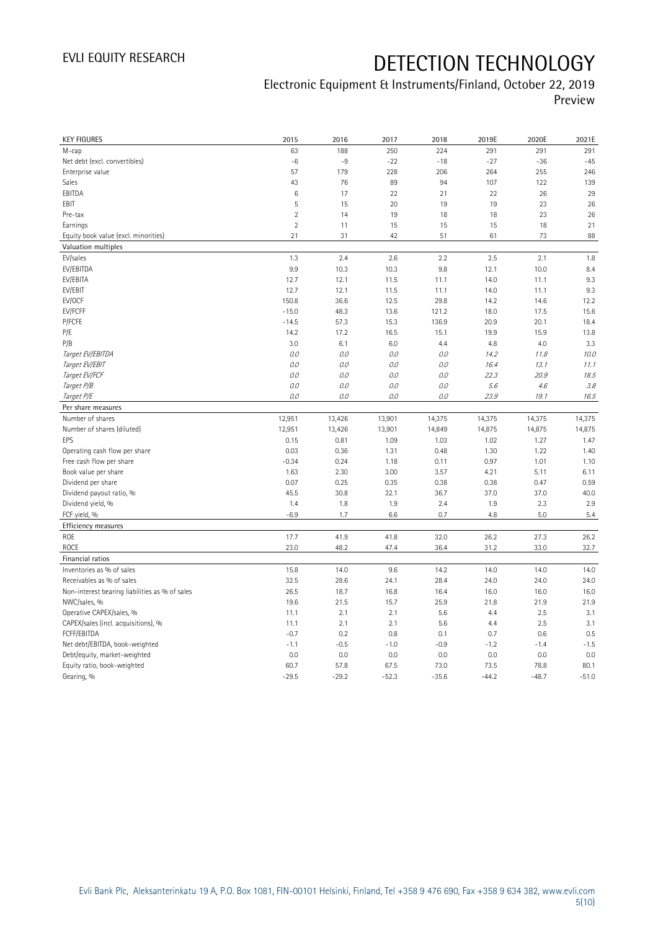| <b>KEY FIGURES</b>                                 | 2015           | 2016           | 2017           | 2018           | 2019E          | 2020E          | 2021E          |
|----------------------------------------------------|----------------|----------------|----------------|----------------|----------------|----------------|----------------|
| M-cap                                              | 63             | 188            | 250            | 224            | 291            | 291            | 291            |
| Net debt (excl. convertibles)                      | $-6$           | $-9$           | $-22$          | $-18$          | $-27$          | $-36$          | $-45$          |
| Enterprise value                                   | 57             | 179            | 228            | 206            | 264            | 255            | 246            |
| Sales                                              | 43             | 76             | 89             | 94             | 107            | 122            | 139            |
| EBITDA                                             | 6              | 17             | 22             | 21             | 22             | 26             | 29             |
| EBIT                                               | 5              | 15             | 20             | 19             | 19             | 23             | 26             |
| Pre-tax                                            | $\overline{2}$ | 14             | 19             | 18             | 18             | 23             | 26             |
| Earnings                                           | $\overline{2}$ | 11             | 15             | 15             | 15             | 18             | 21             |
| Equity book value (excl. minorities)               | 21             | 31             | 42             | 51             | 61             | 73             | 88             |
| Valuation multiples                                |                |                |                |                |                |                |                |
| EV/sales                                           | 1.3            | 2.4            | 2.6            | 2.2            | 2.5            | 2.1            | 1.8            |
| EV/EBITDA                                          | 9.9            | 10.3           | 10.3           | 9.8            | 12.1           | 10.0           | 8.4            |
| EV/EBITA                                           | 12.7           | 12.1           | 11.5           | 11.1           | 14.0           | 11.1           | 9.3            |
| EV/EBIT                                            | 12.7           | 12.1           | 11.5           | 11.1           | 14.0           | 11.1           | 9.3            |
| EV/OCF                                             | 150.8          | 36.6           | 12.5           | 29.8           | 14.2           | 14.6           | 12.2           |
| EV/FCFF                                            | $-15.0$        | 48.3           | 13.6           | 121.2          | 18.0           | 17.5           | 15.6           |
| P/FCFE                                             | $-14.5$        | 57.3           | 15.3           | 136.9          | 20.9           | 20.1           | 18.4           |
| P/E                                                | 14.2           | 17.2           | 16.5           | 15.1           | 19.9           | 15.9           | 13.8           |
| P/B                                                | 3.0            | 6.1            | 6.0            | 4.4            | 4.8            | 4.0            | 3.3            |
| Target EV/EBITDA                                   | O.O            | 0.0            | 0.0            | $O.O$          | 14.2           | 11.8           | 10.0           |
| Target EV/EBIT                                     | $0.0$          | $0.0$          | 0.0            | $O.O$          | 16.4           | 13.1           | 11.1           |
| Target EV/FCF                                      | O.O            | 0.0            | 0.0            | 0.0            | 22.3           | 20.9           | 18.5           |
| Target P/B                                         | 0.0            | $0.0\,$        | 0.0            | $O.O$          | 5.6            | 4.6            | 3.8            |
| Target P/E                                         | $0.0\,$        | 0.0            | 0.0            | 0.0            | 23.9           | 19.1           | 16.5           |
| Per share measures                                 |                |                |                |                |                |                |                |
| Number of shares                                   | 12,951         | 13,426         | 13,901         | 14,375         | 14,375         | 14,375         | 14,375         |
|                                                    |                |                |                |                |                |                |                |
| Number of shares (diluted)                         |                |                |                |                |                |                |                |
| EPS                                                | 12,951<br>0.15 | 13,426<br>0.81 | 13,901<br>1.09 | 14,849<br>1.03 | 14,875<br>1.02 | 14,875<br>1.27 | 14,875<br>1.47 |
| Operating cash flow per share                      | 0.03           | 0.36           | 1.31           | 0.48           | 1.30           | 1.22           | 1.40           |
|                                                    | $-0.34$        | 0.24           | 1.18           | 0.11           | 0.97           | 1.01           | 1.10           |
| Free cash flow per share<br>Book value per share   | 1.63           | 2.30           | 3.00           | 3.57           | 4.21           | 5.11           | 6.11           |
| Dividend per share                                 | 0.07           | 0.25           | 0.35           | 0.38           | 0.38           | 0.47           | 0.59           |
| Dividend payout ratio, %                           | 45.5           | 30.8           | 32.1           | 36.7           | 37.0           | 37.0           | 40.0           |
| Dividend yield, %                                  | 1.4            | 1.8            | 1.9            | 2.4            | 1.9            | 2.3            | 2.9            |
| FCF yield, %                                       | $-6.9$         | 1.7            | 6.6            | 0.7            | 4.8            | 5.0            | 5.4            |
| Efficiency measures                                |                |                |                |                |                |                |                |
| ROE                                                | 17.7           | 41.9           | 41.8           | 32.0           | 26.2           | 27.3           | 26.2           |
| <b>ROCE</b>                                        |                |                | 47.4           | 36.4           | 31.2           | 33.0           |                |
| Financial ratios                                   | 23.0           | 48.2           |                |                |                |                | 32.7           |
|                                                    |                |                |                |                |                |                |                |
| Inventories as % of sales                          | 15.8           | 14.0           | 9.6            | 14.2           | 14.0           | 14.0<br>24.0   | 14.0<br>24.0   |
| Receivables as % of sales                          | 32.5<br>26.5   | 28.6           | 24.1           | 28.4<br>16.4   | 24.0<br>16.0   | 16.0           | 16.0           |
| Non-interest bearing liabilities as % of sales     | 19.6           | 18.7           | 16.8           |                | 21.8           | 21.9           |                |
| NWC/sales, %                                       | 11.1           | 21.5           | 15.7<br>2.1    | 25.9           | 4.4            |                | 21.9           |
| Operative CAPEX/sales, %                           | 11.1           | 2.1<br>2.1     | 2.1            | 5.6<br>5.6     | 4.4            | 2.5<br>2.5     | 3.1<br>3.1     |
| CAPEX/sales (incl. acquisitions), %<br>FCFF/EBITDA | $-0.7$         | 0.2            | 0.8            | 0.1            | 0.7            | 0.6            | 0.5            |
| Net debt/EBITDA, book-weighted                     | $-1.1$         | $-0.5$         | $-1.0$         | $-0.9$         | $-1.2$         | $-1.4$         | $-1.5$         |
| Debt/equity, market-weighted                       | 0.0            | 0.0            | 0.0            | 0.0            | 0.0            | 0.0            | 0.0            |
| Equity ratio, book-weighted                        | 60.7           | 57.8           | 67.5           | 73.0           | 73.5           | 78.8           | 80.1           |
| Gearing, %                                         | $-29.5$        | $-29.2$        | $-52.3$        | $-35.6$        | $-44.2$        | $-48.7$        | $-51.0$        |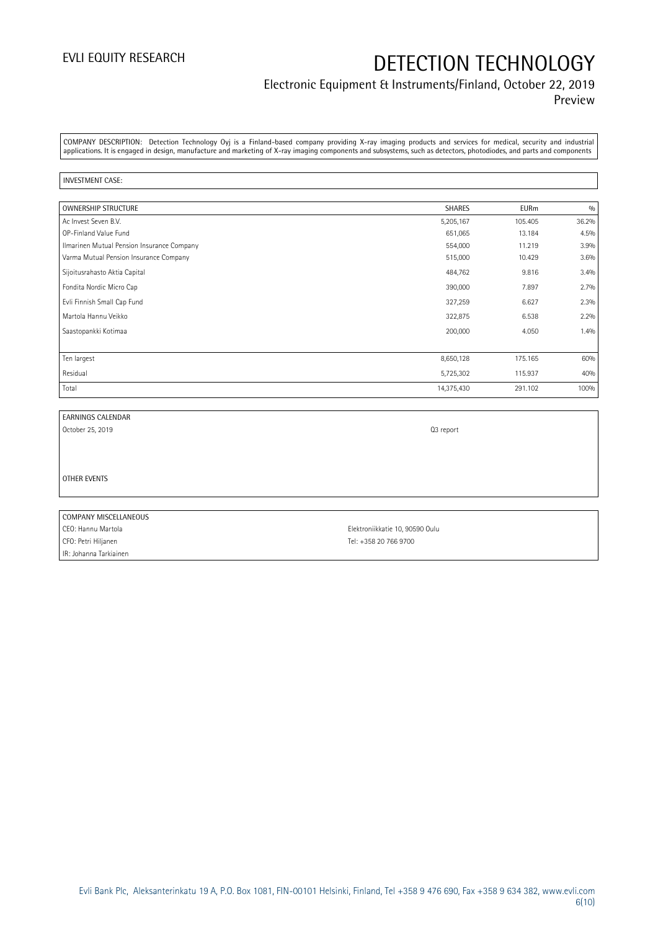### Electronic Equipment & Instruments/Finland, October 22, 2019 Preview

COMPANY DESCRIPTION: Detection Technology Oyj is a Finland-based company providing X-ray imaging products and services for medical, security and industrial applications. It is engaged in design, manufacture and marketing of X-ray imaging components and subsystems, such as detectors, photodiodes, and parts and components

#### INVESTMENT CASE:

| <b>OWNERSHIP STRUCTURE</b>                 | <b>SHARES</b> | <b>EURm</b> | 0/0   |
|--------------------------------------------|---------------|-------------|-------|
| Ac Invest Seven B.V.                       | 5,205,167     | 105.405     | 36.2% |
| OP-Finland Value Fund                      | 651,065       | 13.184      | 4.5%  |
| Ilmarinen Mutual Pension Insurance Company | 554,000       | 11.219      | 3.9%  |
| Varma Mutual Pension Insurance Company     | 515,000       | 10.429      | 3.6%  |
| Sijoitusrahasto Aktia Capital              | 484,762       | 9.816       | 3.4%  |
| Fondita Nordic Micro Cap                   | 390,000       | 7.897       | 2.7%  |
| Evli Finnish Small Cap Fund                | 327,259       | 6.627       | 2.3%  |
| Martola Hannu Veikko                       | 322,875       | 6.538       | 2.2%  |
| Saastopankki Kotimaa                       | 200,000       | 4.050       | 1.4%  |
|                                            |               |             |       |
| Ten largest                                | 8,650,128     | 175.165     | 60%   |
| Residual                                   | 5,725,302     | 115.937     | 40%   |
| Total                                      | 14,375,430    | 291.102     | 100%  |

| <b>EARNINGS CALENDAR</b> |  |
|--------------------------|--|
|                          |  |

October 25, 2019 Q3 report

OTHER EVENTS

COMPANY MISCELLANEOUS CEO: Hannu Martola Elektroniikkatie 10, 90590 Oulu CFO: Petri Hiljanen Tel: +358 20 766 9700 IR: Johanna Tarkiainen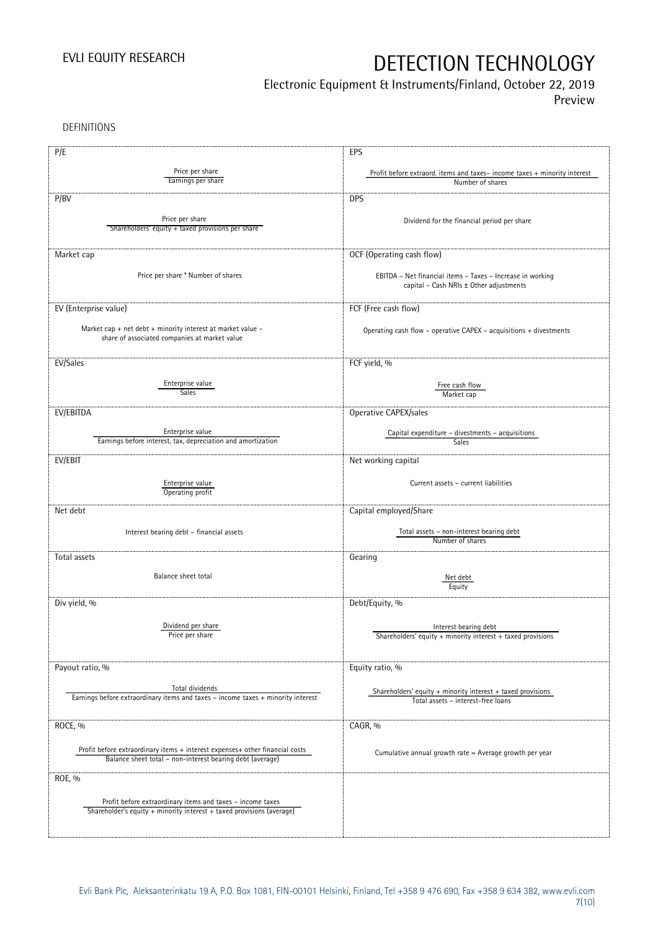## Electronic Equipment & Instruments/Finland, October 22, 2019

Preview

DEFINITIONS

| P/E                                                                                                          | EPS                                                                                          |
|--------------------------------------------------------------------------------------------------------------|----------------------------------------------------------------------------------------------|
| Price per share                                                                                              |                                                                                              |
| Earnings per share                                                                                           | Profit before extraord. items and taxes-income taxes + minority interest<br>Number of shares |
|                                                                                                              |                                                                                              |
| P/BV                                                                                                         | <b>DPS</b>                                                                                   |
| Price per share                                                                                              |                                                                                              |
| Shareholders' equity + taxed provisions per share                                                            | Dividend for the financial period per share                                                  |
|                                                                                                              |                                                                                              |
| Market cap                                                                                                   | OCF (Operating cash flow)                                                                    |
|                                                                                                              |                                                                                              |
| Price per share * Number of shares                                                                           | EBITDA - Net financial items - Taxes - Increase in working                                   |
|                                                                                                              | capital - Cash NRIs ± Other adjustments                                                      |
|                                                                                                              |                                                                                              |
| EV (Enterprise value)                                                                                        | FCF (Free cash flow)                                                                         |
|                                                                                                              |                                                                                              |
| Market cap + net debt + minority interest at market value -<br>share of associated companies at market value | Operating cash flow - operative CAPEX - acquisitions + divestments                           |
|                                                                                                              |                                                                                              |
| EV/Sales                                                                                                     | FCF yield, %                                                                                 |
|                                                                                                              |                                                                                              |
| Enterprise value                                                                                             | Free cash flow                                                                               |
| Sales                                                                                                        | Market cap                                                                                   |
|                                                                                                              |                                                                                              |
| EV/EBITDA                                                                                                    | Operative CAPEX/sales                                                                        |
| Enterprise value                                                                                             | Capital expenditure - divestments - acquisitions                                             |
| Earnings before interest, tax, depreciation and amortization                                                 | <b>Sales</b>                                                                                 |
| EV/EBIT                                                                                                      | Net working capital                                                                          |
|                                                                                                              |                                                                                              |
| Enterprise value                                                                                             | Current assets - current liabilities                                                         |
| Operating profit                                                                                             |                                                                                              |
| Net debt                                                                                                     |                                                                                              |
|                                                                                                              | Capital employed/Share                                                                       |
| Interest bearing debt - financial assets                                                                     | Total assets - non-interest bearing debt                                                     |
|                                                                                                              | Number of shares                                                                             |
| Total assets                                                                                                 | Gearing                                                                                      |
|                                                                                                              |                                                                                              |
| Balance sheet total                                                                                          | Net debt                                                                                     |
|                                                                                                              | Equity                                                                                       |
| Div yield, %                                                                                                 | Debt/Equity, %                                                                               |
|                                                                                                              |                                                                                              |
| Dividend per share                                                                                           | Interest bearing debt                                                                        |
| Price per share                                                                                              | Shareholders' equity + minority interest + taxed provisions                                  |
|                                                                                                              |                                                                                              |
| Payout ratio, %                                                                                              | Equity ratio, %                                                                              |
|                                                                                                              |                                                                                              |
| Total dividends                                                                                              | Shareholders' equity + minority interest + taxed provisions                                  |
| Earnings before extraordinary items and taxes - income taxes + minority interest                             | Total assets - interest-free loans                                                           |
|                                                                                                              |                                                                                              |
| ROCE, %                                                                                                      | CAGR, %                                                                                      |
|                                                                                                              |                                                                                              |
| Profit before extraordinary items + interest expenses+ other financial costs                                 | Cumulative annual growth rate $=$ Average growth per year                                    |
| Balance sheet total - non-interest bearing debt (average)                                                    |                                                                                              |
| ROE, %                                                                                                       |                                                                                              |
|                                                                                                              |                                                                                              |
| Profit before extraordinary items and taxes - income taxes                                                   |                                                                                              |
| Shareholder's equity + minority interest + taxed provisions (average)                                        |                                                                                              |
|                                                                                                              |                                                                                              |
|                                                                                                              |                                                                                              |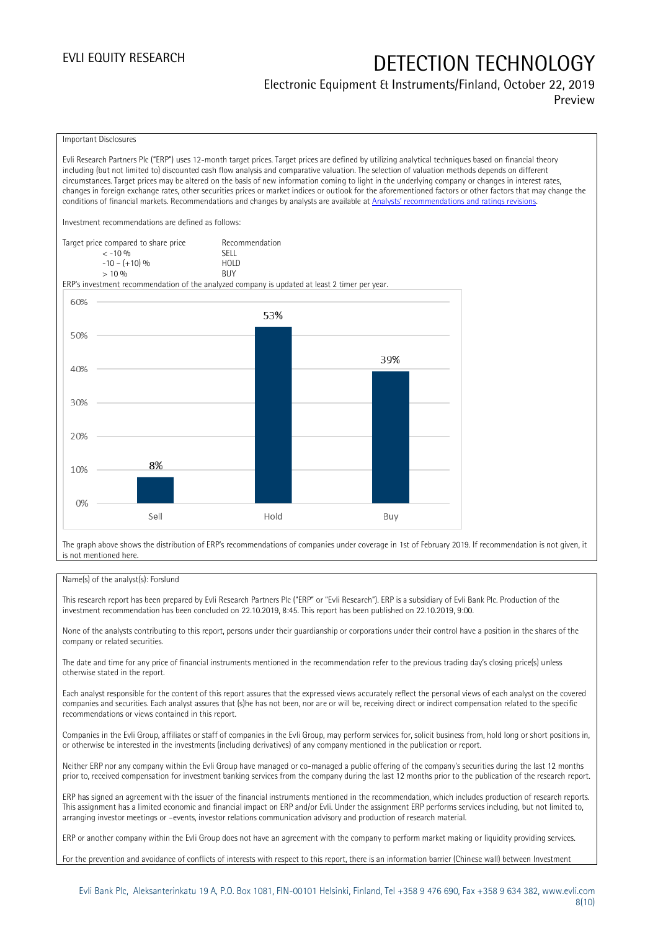#### Electronic Equipment & Instruments/Finland, October 22, 2019 Preview

#### Important Disclosures

Evli Research Partners Plc ("ERP") uses 12-month target prices. Target prices are defined by utilizing analytical techniques based on financial theory including (but not limited to) discounted cash flow analysis and comparative valuation. The selection of valuation methods depends on different circumstances. Target prices may be altered on the basis of new information coming to light in the underlying company or changes in interest rates, changes in foreign exchange rates, other securities prices or market indices or outlook for the aforementioned factors or other factors that may change the conditions of financial markets. Recommendations and changes by analysts are available at [Analysts' recommendations and ratings revisions](https://research.evli.com/JasperAllModels.action?authParam=key;461&authParam=x;G3rNagWrtf7K&authType=3).

Investment recommendations are defined as follows:

| Target price compared to share price | Recommendation                |
|--------------------------------------|-------------------------------|
| $<-10.96$                            | <b>SELL</b>                   |
| $-10 - (+10)$ %                      | H <sub>O</sub> I <sub>D</sub> |
| $> 10\%$                             | <b>BUY</b>                    |

ERP's investment recommendation of the analyzed company is updated at least 2 timer per year.



The graph above shows the distribution of ERP's recommendations of companies under coverage in 1st of February 2019. If recommendation is not given, it is not mentioned here.

#### Name(s) of the analyst(s): Forslund

This research report has been prepared by Evli Research Partners Plc ("ERP" or "Evli Research"). ERP is a subsidiary of Evli Bank Plc. Production of the investment recommendation has been concluded on 22.10.2019, 8:45. This report has been published on 22.10.2019, 9:00.

None of the analysts contributing to this report, persons under their guardianship or corporations under their control have a position in the shares of the company or related securities.

The date and time for any price of financial instruments mentioned in the recommendation refer to the previous trading day's closing price(s) unless otherwise stated in the report.

Each analyst responsible for the content of this report assures that the expressed views accurately reflect the personal views of each analyst on the covered companies and securities. Each analyst assures that (s)he has not been, nor are or will be, receiving direct or indirect compensation related to the specific recommendations or views contained in this report.

Companies in the Evli Group, affiliates or staff of companies in the Evli Group, may perform services for, solicit business from, hold long or short positions in, or otherwise be interested in the investments (including derivatives) of any company mentioned in the publication or report.

Neither ERP nor any company within the Evli Group have managed or co-managed a public offering of the company's securities during the last 12 months prior to, received compensation for investment banking services from the company during the last 12 months prior to the publication of the research report.

ERP has signed an agreement with the issuer of the financial instruments mentioned in the recommendation, which includes production of research reports. This assignment has a limited economic and financial impact on ERP and/or Evli. Under the assignment ERP performs services including, but not limited to, arranging investor meetings or –events, investor relations communication advisory and production of research material.

ERP or another company within the Evli Group does not have an agreement with the company to perform market making or liquidity providing services.

For the prevention and avoidance of conflicts of interests with respect to this report, there is an information barrier (Chinese wall) between Investment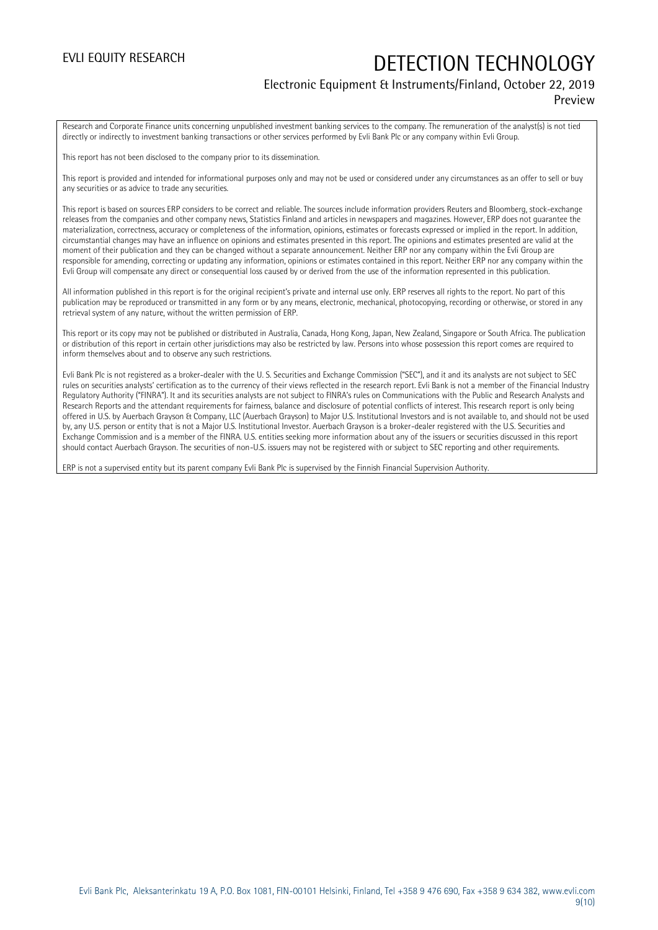### Electronic Equipment & Instruments/Finland, October 22, 2019 Preview

Research and Corporate Finance units concerning unpublished investment banking services to the company. The remuneration of the analyst(s) is not tied directly or indirectly to investment banking transactions or other services performed by Evli Bank Plc or any company within Evli Group.

This report has not been disclosed to the company prior to its dissemination.

This report is provided and intended for informational purposes only and may not be used or considered under any circumstances as an offer to sell or buy any securities or as advice to trade any securities.

This report is based on sources ERP considers to be correct and reliable. The sources include information providers Reuters and Bloomberg, stock-exchange releases from the companies and other company news, Statistics Finland and articles in newspapers and magazines. However, ERP does not guarantee the materialization, correctness, accuracy or completeness of the information, opinions, estimates or forecasts expressed or implied in the report. In addition, circumstantial changes may have an influence on opinions and estimates presented in this report. The opinions and estimates presented are valid at the moment of their publication and they can be changed without a separate announcement. Neither ERP nor any company within the Evli Group are responsible for amending, correcting or updating any information, opinions or estimates contained in this report. Neither ERP nor any company within the Evli Group will compensate any direct or consequential loss caused by or derived from the use of the information represented in this publication.

All information published in this report is for the original recipient's private and internal use only. ERP reserves all rights to the report. No part of this publication may be reproduced or transmitted in any form or by any means, electronic, mechanical, photocopying, recording or otherwise, or stored in any retrieval system of any nature, without the written permission of ERP.

This report or its copy may not be published or distributed in Australia, Canada, Hong Kong, Japan, New Zealand, Singapore or South Africa. The publication or distribution of this report in certain other jurisdictions may also be restricted by law. Persons into whose possession this report comes are required to inform themselves about and to observe any such restrictions.

Evli Bank Plc is not registered as a broker-dealer with the U. S. Securities and Exchange Commission ("SEC"), and it and its analysts are not subject to SEC rules on securities analysts' certification as to the currency of their views reflected in the research report. Evli Bank is not a member of the Financial Industry Regulatory Authority ("FINRA"). It and its securities analysts are not subject to FINRA's rules on Communications with the Public and Research Analysts and Research Reports and the attendant requirements for fairness, balance and disclosure of potential conflicts of interest. This research report is only being offered in U.S. by Auerbach Grayson & Company, LLC (Auerbach Grayson) to Major U.S. Institutional Investors and is not available to, and should not be used by, any U.S. person or entity that is not a Major U.S. Institutional Investor. Auerbach Grayson is a broker-dealer registered with the U.S. Securities and Exchange Commission and is a member of the FINRA. U.S. entities seeking more information about any of the issuers or securities discussed in this report should contact Auerbach Grayson. The securities of non-U.S. issuers may not be registered with or subject to SEC reporting and other requirements.

ERP is not a supervised entity but its parent company Evli Bank Plc is supervised by the Finnish Financial Supervision Authority.